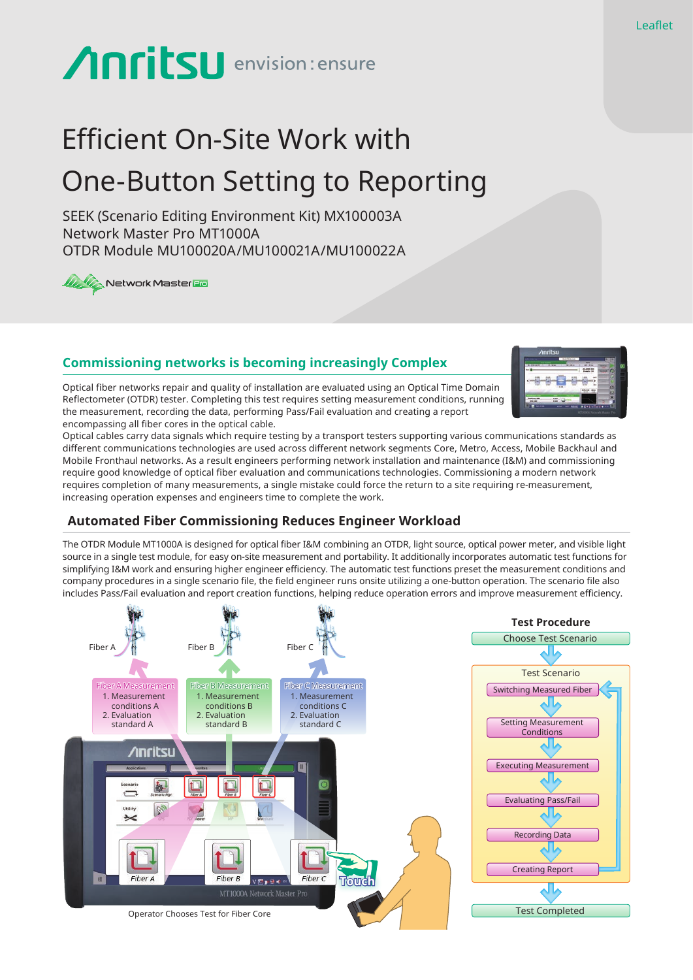# **Anritsu** envision: ensure

## Efficient On-Site Work with One-Button Setting to Reporting

SEEK (Scenario Editing Environment Kit) MX100003A Network Master Pro MT1000A OTDR Module MU100020A/MU100021A/MU100022A

**Wy W** Network Master **Bio** 

### **Commissioning networks is becoming increasingly Complex**

Optical fiber networks repair and quality of installation are evaluated using an Optical Time Domain Reflectometer (OTDR) tester. Completing this test requires setting measurement conditions, running the measurement, recording the data, performing Pass/Fail evaluation and creating a report encompassing all fiber cores in the optical cable.

Optical cables carry data signals which require testing by a transport testers supporting various communications standards as different communications technologies are used across different network segments Core, Metro, Access, Mobile Backhaul and Mobile Fronthaul networks. As a result engineers performing network installation and maintenance (I&M) and commissioning require good knowledge of optical fiber evaluation and communications technologies. Commissioning a modern network requires completion of many measurements, a single mistake could force the return to a site requiring re-measurement, increasing operation expenses and engineers time to complete the work.

#### **Automated Fiber Commissioning Reduces Engineer Workload**

The OTDR Module MT1000A is designed for optical fiber I&M combining an OTDR, light source, optical power meter, and visible light source in a single test module, for easy on-site measurement and portability. It additionally incorporates automatic test functions for simplifying I&M work and ensuring higher engineer efficiency. The automatic test functions preset the measurement conditions and company procedures in a single scenario file, the field engineer runs onsite utilizing a one-button operation. The scenario file also includes Pass/Fail evaluation and report creation functions, helping reduce operation errors and improve measurement efficiency.